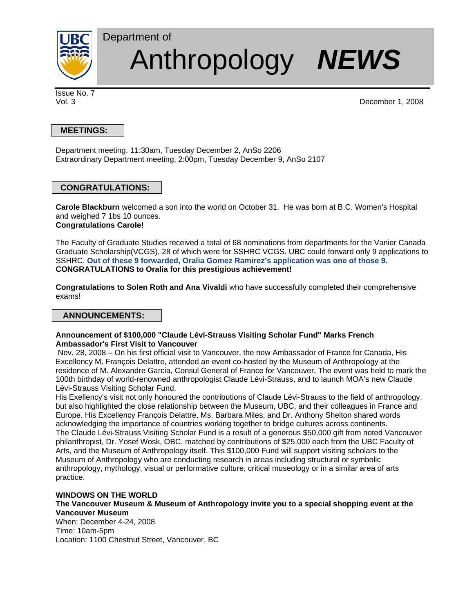

# Department of Anthropology *NEWS*

Issue No. 7

Vol. 3 December 1, 2008

## **MEETINGS:**

Department meeting, 11:30am, Tuesday December 2, AnSo 2206 Extraordinary Department meeting, 2:00pm, Tuesday December 9, AnSo 2107

## **CONGRATULATIONS:**

**Carole Blackburn** welcomed a son into the world on October 31. He was born at B.C. Women's Hospital and weighed 7 1bs 10 ounces. **Congratulations Carole!** 

The Faculty of Graduate Studies received a total of 68 nominations from departments for the Vanier Canada Graduate Scholarship(VCGS), 28 of which were for SSHRC VCGS. UBC could forward only 9 applications to SSHRC. **Out of these 9 forwarded, Oralia Gomez Ramirez's application was one of those 9. CONGRATULATIONS to Oralia for this prestigious achievement!** 

**Congratulations to Solen Roth and Ana Vivaldi** who have successfully completed their comprehensive exams!

## **ANNOUNCEMENTS:**

#### **Announcement of \$100,000 "Claude Lévi-Strauss Visiting Scholar Fund" Marks French Ambassador's First Visit to Vancouver**

 Nov. 28, 2008 – On his first official visit to Vancouver, the new Ambassador of France for Canada, His Excellency M. François Delattre, attended an event co-hosted by the Museum of Anthropology at the residence of M. Alexandre Garcia, Consul General of France for Vancouver. The event was held to mark the 100th birthday of world-renowned anthropologist Claude Lévi-Strauss, and to launch MOA's new Claude Lévi-Strauss Visiting Scholar Fund.

His Exellency's visit not only honoured the contributions of Claude Lévi-Strauss to the field of anthropology, but also highlighted the close relationship between the Museum, UBC, and their colleagues in France and Europe. His Excellency François Delattre, Ms. Barbara Miles, and Dr. Anthony Shelton shared words acknowledging the importance of countries working together to bridge cultures across continents. The Claude Lévi-Strauss Visiting Scholar Fund is a result of a generous \$50,000 gift from noted Vancouver philanthropist, Dr. Yosef Wosk, OBC, matched by contributions of \$25,000 each from the UBC Faculty of Arts, and the Museum of Anthropology itself. This \$100,000 Fund will support visiting scholars to the Museum of Anthropology who are conducting research in areas including structural or symbolic anthropology, mythology, visual or performative culture, critical museology or in a similar area of arts practice.

#### **WINDOWS ON THE WORLD**

### **The Vancouver Museum & Museum of Anthropology invite you to a special shopping event at the Vancouver Museum**

When: December 4-24, 2008 Time: 10am-5pm Location: 1100 Chestnut Street, Vancouver, BC